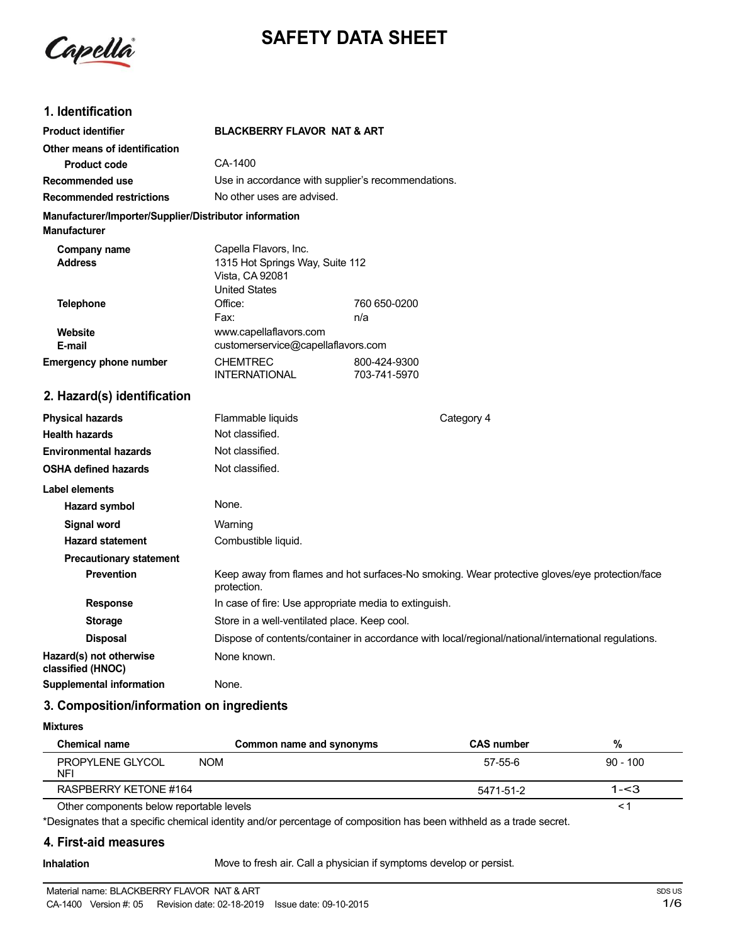

# **SAFETY DATA SHEET**

# **1. Identification**

| <b>Product identifier</b>                                                     | <b>BLACKBERRY FLAVOR NAT &amp; ART</b>                                                              |                                                                                                     |
|-------------------------------------------------------------------------------|-----------------------------------------------------------------------------------------------------|-----------------------------------------------------------------------------------------------------|
| Other means of identification                                                 |                                                                                                     |                                                                                                     |
| <b>Product code</b>                                                           | CA-1400                                                                                             |                                                                                                     |
| <b>Recommended use</b>                                                        | Use in accordance with supplier's recommendations.                                                  |                                                                                                     |
| <b>Recommended restrictions</b>                                               | No other uses are advised.                                                                          |                                                                                                     |
| Manufacturer/Importer/Supplier/Distributor information<br><b>Manufacturer</b> |                                                                                                     |                                                                                                     |
| Company name<br><b>Address</b>                                                | Capella Flavors, Inc.<br>1315 Hot Springs Way, Suite 112<br>Vista, CA 92081<br><b>United States</b> |                                                                                                     |
| <b>Telephone</b>                                                              | Office:                                                                                             | 760 650-0200                                                                                        |
|                                                                               | Fax:                                                                                                | n/a                                                                                                 |
| Website<br>E-mail                                                             | www.capellaflavors.com<br>customerservice@capellaflavors.com                                        |                                                                                                     |
| <b>Emergency phone number</b>                                                 | <b>CHEMTREC</b>                                                                                     | 800-424-9300                                                                                        |
|                                                                               | <b>INTERNATIONAL</b>                                                                                | 703-741-5970                                                                                        |
| 2. Hazard(s) identification                                                   |                                                                                                     |                                                                                                     |
| <b>Physical hazards</b>                                                       | Flammable liquids                                                                                   | Category 4                                                                                          |
| <b>Health hazards</b>                                                         | Not classified.                                                                                     |                                                                                                     |
| <b>Environmental hazards</b>                                                  | Not classified.                                                                                     |                                                                                                     |
| <b>OSHA defined hazards</b>                                                   | Not classified.                                                                                     |                                                                                                     |
| Label elements                                                                |                                                                                                     |                                                                                                     |
| Hazard symbol                                                                 | None.                                                                                               |                                                                                                     |
| <b>Signal word</b>                                                            | Warning                                                                                             |                                                                                                     |
| <b>Hazard statement</b>                                                       | Combustible liquid.                                                                                 |                                                                                                     |
| <b>Precautionary statement</b>                                                |                                                                                                     |                                                                                                     |
| <b>Prevention</b>                                                             | protection.                                                                                         | Keep away from flames and hot surfaces-No smoking. Wear protective gloves/eye protection/face       |
| <b>Response</b>                                                               | In case of fire: Use appropriate media to extinguish.                                               |                                                                                                     |
| <b>Storage</b>                                                                | Store in a well-ventilated place. Keep cool.                                                        |                                                                                                     |
| <b>Disposal</b>                                                               |                                                                                                     | Dispose of contents/container in accordance with local/regional/national/international regulations. |
| Hazard(s) not otherwise<br>classified (HNOC)                                  | None known.                                                                                         |                                                                                                     |
| <b>Supplemental information</b>                                               | None.                                                                                               |                                                                                                     |

# **3. Composition/information on ingredients**

#### **Mixtures**

| <b>Chemical name</b>                     | Common name and synonyms | <b>CAS number</b> | %          |
|------------------------------------------|--------------------------|-------------------|------------|
| PROPYLENE GLYCOL<br>NFI                  | NOM                      | 57-55-6           | $90 - 100$ |
| RASPBERRY KETONE #164                    |                          | 5471-51-2         | $1 - 3$    |
| Other components below reportable levels |                          |                   |            |

\*Designates that a specific chemical identity and/or percentage of composition has been withheld as a trade secret.

### **4. First-aid measures**

**Inhalation** Move to fresh air. Call a physician if symptoms develop or persist.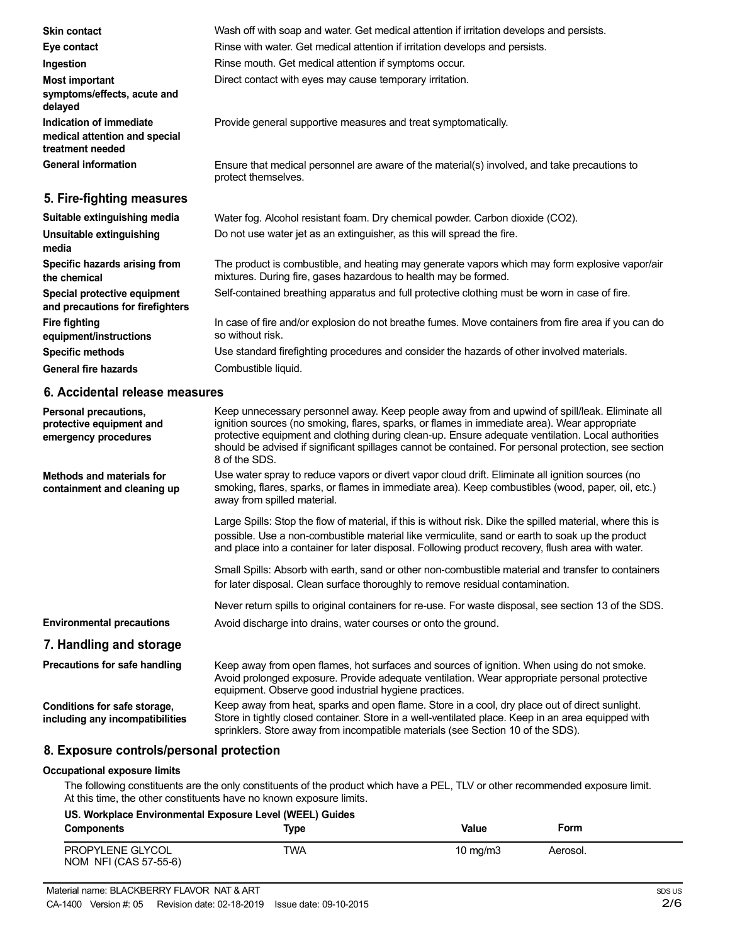| <b>Skin contact</b>                                                          | Wash off with soap and water. Get medical attention if irritation develops and persists.                                                                                                                                                                                                                                                                                                                                     |
|------------------------------------------------------------------------------|------------------------------------------------------------------------------------------------------------------------------------------------------------------------------------------------------------------------------------------------------------------------------------------------------------------------------------------------------------------------------------------------------------------------------|
| Eye contact                                                                  | Rinse with water. Get medical attention if irritation develops and persists.                                                                                                                                                                                                                                                                                                                                                 |
| Ingestion                                                                    | Rinse mouth. Get medical attention if symptoms occur.                                                                                                                                                                                                                                                                                                                                                                        |
| <b>Most important</b><br>symptoms/effects, acute and<br>delayed              | Direct contact with eyes may cause temporary irritation.                                                                                                                                                                                                                                                                                                                                                                     |
| Indication of immediate<br>medical attention and special<br>treatment needed | Provide general supportive measures and treat symptomatically.                                                                                                                                                                                                                                                                                                                                                               |
| <b>General information</b>                                                   | Ensure that medical personnel are aware of the material(s) involved, and take precautions to<br>protect themselves.                                                                                                                                                                                                                                                                                                          |
| 5. Fire-fighting measures                                                    |                                                                                                                                                                                                                                                                                                                                                                                                                              |
| Suitable extinguishing media                                                 | Water fog. Alcohol resistant foam. Dry chemical powder. Carbon dioxide (CO2).                                                                                                                                                                                                                                                                                                                                                |
| <b>Unsuitable extinguishing</b><br>media                                     | Do not use water jet as an extinguisher, as this will spread the fire.                                                                                                                                                                                                                                                                                                                                                       |
| Specific hazards arising from<br>the chemical                                | The product is combustible, and heating may generate vapors which may form explosive vapor/air<br>mixtures. During fire, gases hazardous to health may be formed.                                                                                                                                                                                                                                                            |
| Special protective equipment<br>and precautions for firefighters             | Self-contained breathing apparatus and full protective clothing must be worn in case of fire.                                                                                                                                                                                                                                                                                                                                |
| <b>Fire fighting</b><br>equipment/instructions                               | In case of fire and/or explosion do not breathe fumes. Move containers from fire area if you can do<br>so without risk.                                                                                                                                                                                                                                                                                                      |
| <b>Specific methods</b>                                                      | Use standard firefighting procedures and consider the hazards of other involved materials.                                                                                                                                                                                                                                                                                                                                   |
| <b>General fire hazards</b>                                                  | Combustible liquid.                                                                                                                                                                                                                                                                                                                                                                                                          |
| 6. Accidental release measures                                               |                                                                                                                                                                                                                                                                                                                                                                                                                              |
| Personal precautions,<br>protective equipment and<br>emergency procedures    | Keep unnecessary personnel away. Keep people away from and upwind of spill/leak. Eliminate all<br>ignition sources (no smoking, flares, sparks, or flames in immediate area). Wear appropriate<br>protective equipment and clothing during clean-up. Ensure adequate ventilation. Local authorities<br>should be advised if significant spillages cannot be contained. For personal protection, see section<br>8 of the SDS. |
| Methods and materials for<br>containment and cleaning up                     | Use water spray to reduce vapors or divert vapor cloud drift. Eliminate all ignition sources (no<br>smoking, flares, sparks, or flames in immediate area). Keep combustibles (wood, paper, oil, etc.)<br>away from spilled material.                                                                                                                                                                                         |
|                                                                              | Large Spills: Stop the flow of material, if this is without risk. Dike the spilled material, where this is<br>possible. Use a non-combustible material like vermiculite, sand or earth to soak up the product<br>and place into a container for later disposal. Following product recovery, flush area with water.                                                                                                           |

Small Spills: Absorb with earth, sand or other non-combustible material and transfer to containers for later disposal. Clean surface thoroughly to remove residual contamination.

Never return spills to original containers for re-use. For waste disposal, see section 13 of the SDS.

Avoid discharge into drains, water courses or onto the ground.

## **7. Handling and storage**

**Environmental precautions**

**Precautions for safe handling Conditions for safe storage, including any incompatibilities** Keep away from open flames, hot surfaces and sources of ignition. When using do not smoke. Avoid prolonged exposure. Provide adequate ventilation. Wear appropriate personal protective equipment. Observe good industrial hygiene practices. Keep away from heat, sparks and open flame. Store in a cool, dry place out of direct sunlight. Store in tightly closed container. Store in a well-ventilated place. Keep in an area equipped with sprinklers. Store away from incompatible materials (see Section 10 of the SDS).

## **8. Exposure controls/personal protection**

#### **Occupational exposure limits**

The following constituents are the only constituents of the product which have a PEL, TLV or other recommended exposure limit. At this time, the other constituents have no known exposure limits.

# **US. Workplace Environmental Exposure Level (WEEL) Guides**

| <b>Components</b>                         | Type       | <b>Value</b> | Form     |  |
|-------------------------------------------|------------|--------------|----------|--|
| PROPYLENE GLYCOL<br>NOM NFI (CAS 57-55-6) | <b>TWA</b> | 10 $mg/m3$   | Aerosol. |  |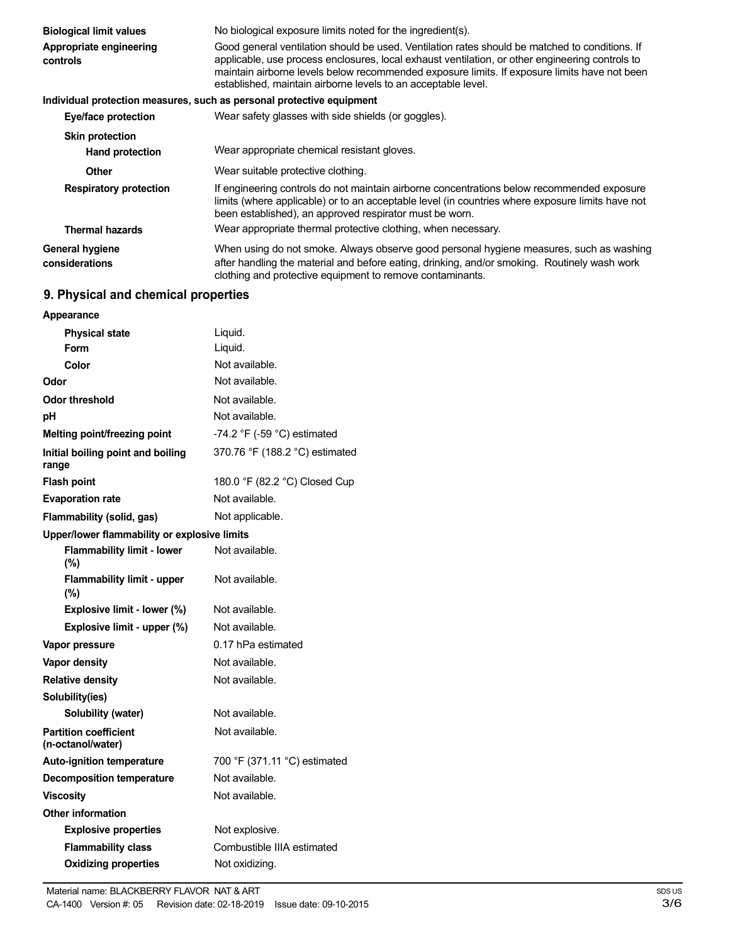| <b>Biological limit values</b>      | No biological exposure limits noted for the ingredient(s).                                                                                                                                                                                                                                                                                                         |  |  |
|-------------------------------------|--------------------------------------------------------------------------------------------------------------------------------------------------------------------------------------------------------------------------------------------------------------------------------------------------------------------------------------------------------------------|--|--|
| Appropriate engineering<br>controls | Good general ventilation should be used. Ventilation rates should be matched to conditions. If<br>applicable, use process enclosures, local exhaust ventilation, or other engineering controls to<br>maintain airborne levels below recommended exposure limits. If exposure limits have not been<br>established, maintain airborne levels to an acceptable level. |  |  |
|                                     | Individual protection measures, such as personal protective equipment                                                                                                                                                                                                                                                                                              |  |  |
| Eye/face protection                 | Wear safety glasses with side shields (or goggles).                                                                                                                                                                                                                                                                                                                |  |  |
| <b>Skin protection</b>              |                                                                                                                                                                                                                                                                                                                                                                    |  |  |
| <b>Hand protection</b>              | Wear appropriate chemical resistant gloves.                                                                                                                                                                                                                                                                                                                        |  |  |
| Other                               | Wear suitable protective clothing.                                                                                                                                                                                                                                                                                                                                 |  |  |
| <b>Respiratory protection</b>       | If engineering controls do not maintain airborne concentrations below recommended exposure<br>limits (where applicable) or to an acceptable level (in countries where exposure limits have not<br>been established), an approved respirator must be worn.                                                                                                          |  |  |
| <b>Thermal hazards</b>              | Wear appropriate thermal protective clothing, when necessary.                                                                                                                                                                                                                                                                                                      |  |  |
| General hygiene<br>considerations   | When using do not smoke. Always observe good personal hygiene measures, such as washing<br>after handling the material and before eating, drinking, and/or smoking. Routinely wash work<br>clothing and protective equipment to remove contaminants.                                                                                                               |  |  |

# **9. Physical and chemical properties**

| Appearance                                        |                                |
|---------------------------------------------------|--------------------------------|
| <b>Physical state</b>                             | Liquid.                        |
| Form                                              | Liquid.                        |
| Color                                             | Not available.                 |
| Odor                                              | Not available.                 |
| Odor threshold                                    | Not available.                 |
| рH                                                | Not available.                 |
| Melting point/freezing point                      | -74.2 °F (-59 °C) estimated    |
| Initial boiling point and boiling<br>range        | 370.76 °F (188.2 °C) estimated |
| <b>Flash point</b>                                | 180.0 °F (82.2 °C) Closed Cup  |
| <b>Evaporation rate</b>                           | Not available.                 |
| Flammability (solid, gas)                         | Not applicable.                |
| Upper/lower flammability or explosive limits      |                                |
| <b>Flammability limit - lower</b><br>(%)          | Not available.                 |
| <b>Flammability limit - upper</b><br>(%)          | Not available.                 |
| Explosive limit - lower (%)                       | Not available.                 |
| Explosive limit - upper (%)                       | Not available.                 |
| Vapor pressure                                    | 0.17 hPa estimated             |
| Vapor density                                     | Not available.                 |
| <b>Relative density</b>                           | Not available.                 |
| Solubility(ies)                                   |                                |
| Solubility (water)                                | Not available.                 |
| <b>Partition coefficient</b><br>(n-octanol/water) | Not available.                 |
| <b>Auto-ignition temperature</b>                  | 700 °F (371.11 °C) estimated   |
| <b>Decomposition temperature</b>                  | Not available.                 |
| <b>Viscositv</b>                                  | Not available.                 |
| <b>Other information</b>                          |                                |
| <b>Explosive properties</b>                       | Not explosive.                 |
| <b>Flammability class</b>                         | Combustible IIIA estimated     |
| <b>Oxidizing properties</b>                       | Not oxidizing.                 |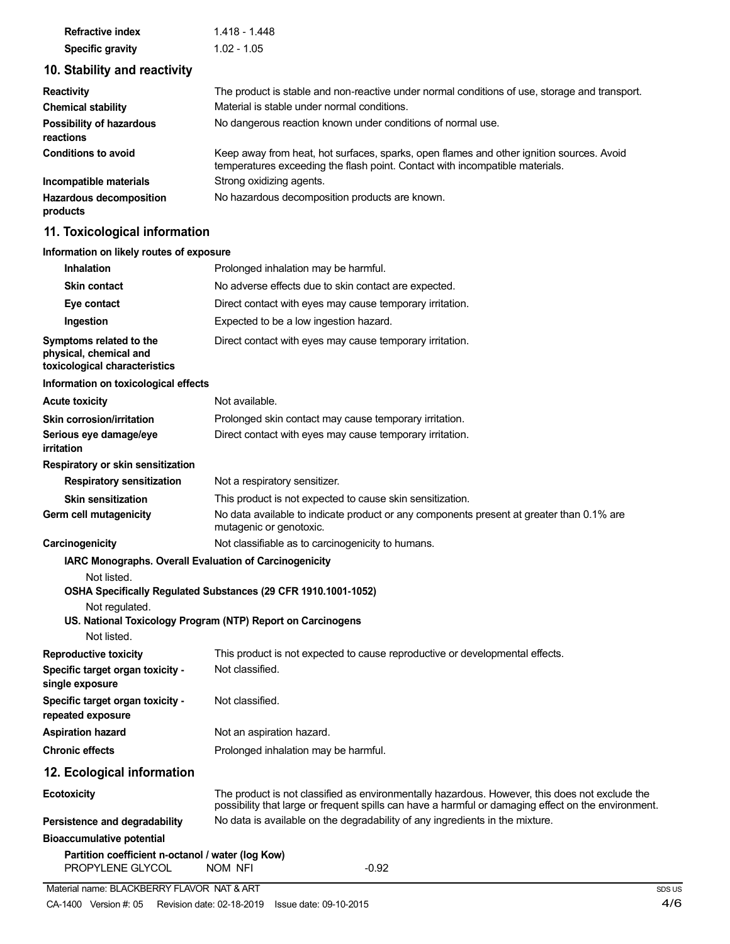| <b>Refractive index</b> | 1.418 - 1.448 |  |  |
|-------------------------|---------------|--|--|
| <b>Specific gravity</b> | $1.02 - 1.05$ |  |  |

# **10. Stability and reactivity**

| <b>Reactivity</b>                            | The product is stable and non-reactive under normal conditions of use, storage and transport.                                                                            |
|----------------------------------------------|--------------------------------------------------------------------------------------------------------------------------------------------------------------------------|
| <b>Chemical stability</b>                    | Material is stable under normal conditions.                                                                                                                              |
| <b>Possibility of hazardous</b><br>reactions | No dangerous reaction known under conditions of normal use.                                                                                                              |
| <b>Conditions to avoid</b>                   | Keep away from heat, hot surfaces, sparks, open flames and other ignition sources. Avoid<br>temperatures exceeding the flash point. Contact with incompatible materials. |
| Incompatible materials                       | Strong oxidizing agents.                                                                                                                                                 |
| <b>Hazardous decomposition</b><br>products   | No hazardous decomposition products are known.                                                                                                                           |

# **11. Toxicological information**

| Information on likely routes of exposure                                           |                                                                                                                                                                                                       |
|------------------------------------------------------------------------------------|-------------------------------------------------------------------------------------------------------------------------------------------------------------------------------------------------------|
| <b>Inhalation</b>                                                                  | Prolonged inhalation may be harmful.                                                                                                                                                                  |
| <b>Skin contact</b>                                                                | No adverse effects due to skin contact are expected.                                                                                                                                                  |
| Eye contact                                                                        | Direct contact with eyes may cause temporary irritation.                                                                                                                                              |
| Ingestion                                                                          | Expected to be a low ingestion hazard.                                                                                                                                                                |
| Symptoms related to the<br>physical, chemical and<br>toxicological characteristics | Direct contact with eyes may cause temporary irritation.                                                                                                                                              |
| Information on toxicological effects                                               |                                                                                                                                                                                                       |
| <b>Acute toxicity</b>                                                              | Not available.                                                                                                                                                                                        |
| <b>Skin corrosion/irritation</b>                                                   | Prolonged skin contact may cause temporary irritation.                                                                                                                                                |
| Serious eye damage/eye<br><b>irritation</b>                                        | Direct contact with eyes may cause temporary irritation.                                                                                                                                              |
| Respiratory or skin sensitization                                                  |                                                                                                                                                                                                       |
| <b>Respiratory sensitization</b>                                                   | Not a respiratory sensitizer.                                                                                                                                                                         |
| <b>Skin sensitization</b>                                                          | This product is not expected to cause skin sensitization.                                                                                                                                             |
| Germ cell mutagenicity                                                             | No data available to indicate product or any components present at greater than 0.1% are<br>mutagenic or genotoxic.                                                                                   |
| Carcinogenicity                                                                    | Not classifiable as to carcinogenicity to humans.                                                                                                                                                     |
| IARC Monographs. Overall Evaluation of Carcinogenicity                             |                                                                                                                                                                                                       |
| Not listed.                                                                        | OSHA Specifically Regulated Substances (29 CFR 1910.1001-1052)                                                                                                                                        |
| Not regulated.                                                                     |                                                                                                                                                                                                       |
| Not listed.                                                                        | US. National Toxicology Program (NTP) Report on Carcinogens                                                                                                                                           |
| <b>Reproductive toxicity</b>                                                       | This product is not expected to cause reproductive or developmental effects.                                                                                                                          |
| Specific target organ toxicity -<br>single exposure                                | Not classified.                                                                                                                                                                                       |
| Specific target organ toxicity -<br>repeated exposure                              | Not classified.                                                                                                                                                                                       |
| <b>Aspiration hazard</b>                                                           | Not an aspiration hazard.                                                                                                                                                                             |
| <b>Chronic effects</b>                                                             | Prolonged inhalation may be harmful.                                                                                                                                                                  |
| 12. Ecological information                                                         |                                                                                                                                                                                                       |
| <b>Ecotoxicity</b>                                                                 | The product is not classified as environmentally hazardous. However, this does not exclude the<br>possibility that large or frequent spills can have a harmful or damaging effect on the environment. |
| Persistence and degradability                                                      | No data is available on the degradability of any ingredients in the mixture.                                                                                                                          |
| <b>Bioaccumulative potential</b>                                                   |                                                                                                                                                                                                       |
| Partition coefficient n-octanol / water (log Kow)<br>PROPYLENE GLYCOL              | NOM NFI<br>$-0.92$                                                                                                                                                                                    |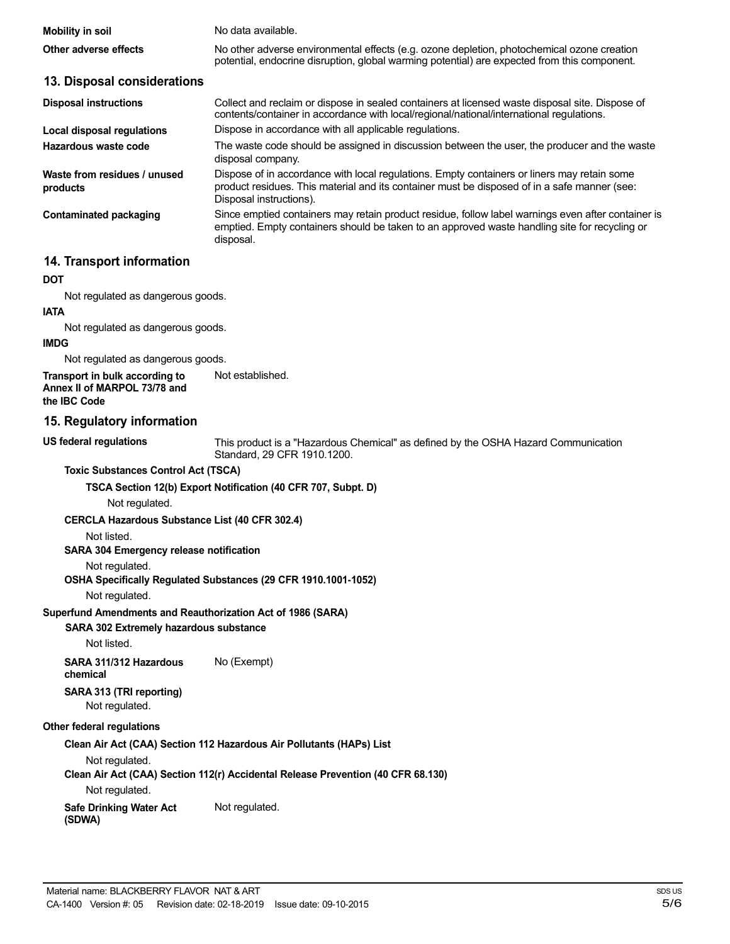| Mobility in soil<br>Other adverse effects | No data available.<br>No other adverse environmental effects (e.g. ozone depletion, photochemical ozone creation                                                                            |
|-------------------------------------------|---------------------------------------------------------------------------------------------------------------------------------------------------------------------------------------------|
| 13. Disposal considerations               | potential, endocrine disruption, global warming potential) are expected from this component.                                                                                                |
| <b>Disposal instructions</b>              | Collect and reclaim or dispose in sealed containers at licensed waste disposal site. Dispose of<br>contents/container in accordance with local/regional/national/international regulations. |
| Local disposal regulations                | Dispose in accordance with all applicable regulations.                                                                                                                                      |
| Hazardous waste code                      | The waste code should be assigned in discussion between the user, the producer and the waste<br>disposal company.                                                                           |

**Waste from residues / unused products**

**Contaminated packaging**

#### Dispose of in accordance with local regulations. Empty containers or liners may retain some product residues. This material and its container must be disposed of in a safe manner (see: Disposal instructions). Since emptied containers may retain product residue, follow label warnings even after container is emptied. Empty containers should be taken to an approved waste handling site for recycling or disposal.

# **14. Transport information**

# **DOT**

Not regulated as dangerous goods.

# **IATA**

Not regulated as dangerous goods.

#### **IMDG**

Not regulated as dangerous goods.

**Transport in bulk according to Annex II of MARPOL 73/78 and the IBC Code** Not established.

### **15. Regulatory information**

**US federal regulations**

This product is a "Hazardous Chemical" as defined by the OSHA Hazard Communication Standard, 29 CFR 1910.1200.

#### **Toxic Substances Control Act (TSCA)**

**TSCA Section 12(b) Export Notification (40 CFR 707, Subpt. D)**

Not regulated.

#### **CERCLA Hazardous Substance List (40 CFR 302.4)**

Not listed.

### **SARA 304 Emergency release notification**

#### Not regulated.

#### **OSHA Specifically Regulated Substances (29 CFR 1910.1001-1052)**

Not regulated.

#### **Superfund Amendments and Reauthorization Act of 1986 (SARA)**

**SARA 302 Extremely hazardous substance**

Not listed.

**SARA 311/312 Hazardous** No (Exempt) **chemical**

#### **SARA 313 (TRI reporting)** Not regulated.

## **Other federal regulations**

#### **Clean Air Act (CAA) Section 112 Hazardous Air Pollutants (HAPs) List**

Not regulated.

# **Clean Air Act (CAA) Section 112(r) Accidental Release Prevention (40 CFR 68.130)**

Not regulated.

#### **Safe Drinking Water Act (SDWA)** Not regulated.